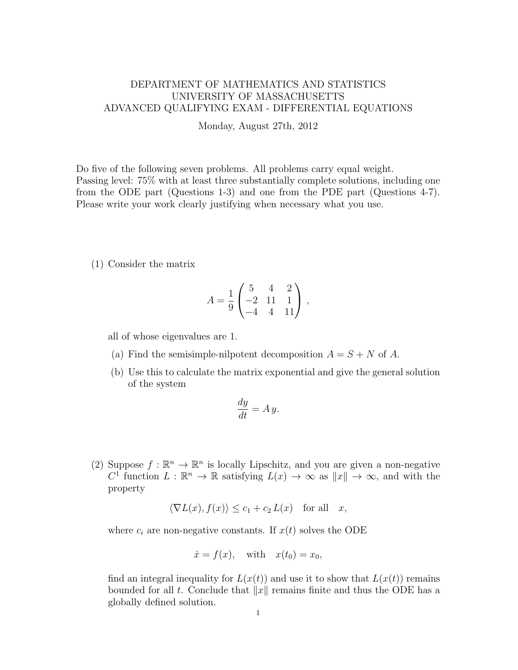## DEPARTMENT OF MATHEMATICS AND STATISTICS UNIVERSITY OF MASSACHUSETTS ADVANCED QUALIFYING EXAM - DIFFERENTIAL EQUATIONS

Monday, August 27th, 2012

Do five of the following seven problems. All problems carry equal weight. Passing level: 75% with at least three substantially complete solutions, including one from the ODE part (Questions 1-3) and one from the PDE part (Questions 4-7). Please write your work clearly justifying when necessary what you use.

(1) Consider the matrix

$$
A = \frac{1}{9} \begin{pmatrix} 5 & 4 & 2 \\ -2 & 11 & 1 \\ -4 & 4 & 11 \end{pmatrix},
$$

all of whose eigenvalues are 1.

- (a) Find the semisimple-nilpotent decomposition  $A = S + N$  of A.
- (b) Use this to calculate the matrix exponential and give the general solution of the system

$$
\frac{dy}{dt} = A y.
$$

(2) Suppose  $f : \mathbb{R}^n \to \mathbb{R}^n$  is locally Lipschitz, and you are given a non-negative  $C^1$  function  $L : \mathbb{R}^n \to \mathbb{R}$  satisfying  $L(x) \to \infty$  as  $||x|| \to \infty$ , and with the property

$$
\langle \nabla L(x), f(x) \rangle \le c_1 + c_2 L(x) \quad \text{for all} \quad x,
$$

where  $c_i$  are non-negative constants. If  $x(t)$  solves the ODE

$$
\dot{x} = f(x), \quad \text{with} \quad x(t_0) = x_0,
$$

find an integral inequality for  $L(x(t))$  and use it to show that  $L(x(t))$  remains bounded for all t. Conclude that  $||x||$  remains finite and thus the ODE has a globally defined solution.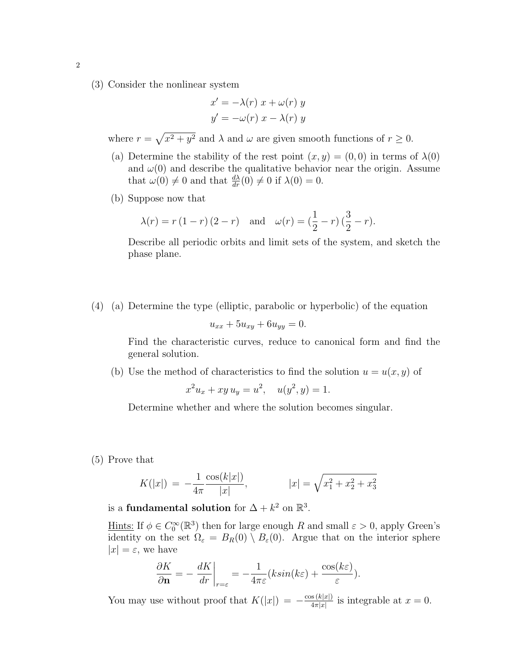(3) Consider the nonlinear system

$$
x' = -\lambda(r) x + \omega(r) y
$$
  

$$
y' = -\omega(r) x - \lambda(r) y
$$

where  $r = \sqrt{x^2 + y^2}$  and  $\lambda$  and  $\omega$  are given smooth functions of  $r \ge 0$ .

- (a) Determine the stability of the rest point  $(x, y) = (0, 0)$  in terms of  $\lambda(0)$ and  $\omega(0)$  and describe the qualitative behavior near the origin. Assume that  $\omega(0) \neq 0$  and that  $\frac{d\lambda}{dr}(0) \neq 0$  if  $\lambda(0) = 0$ .
- (b) Suppose now that

$$
\lambda(r) = r(1 - r)(2 - r)
$$
 and  $\omega(r) = (\frac{1}{2} - r)(\frac{3}{2} - r).$ 

Describe all periodic orbits and limit sets of the system, and sketch the phase plane.

(4) (a) Determine the type (elliptic, parabolic or hyperbolic) of the equation

$$
u_{xx} + 5u_{xy} + 6u_{yy} = 0.
$$

Find the characteristic curves, reduce to canonical form and find the general solution.

(b) Use the method of characteristics to find the solution  $u = u(x, y)$  of

$$
x^2u_x + xy u_y = u^2, \quad u(y^2, y) = 1.
$$

Determine whether and where the solution becomes singular.

(5) Prove that

$$
K(|x|) = -\frac{1}{4\pi} \frac{\cos(k|x|)}{|x|}, \qquad |x| = \sqrt{x_1^2 + x_2^2 + x_3^2}
$$

is a fundamental solution for  $\Delta + k^2$  on  $\mathbb{R}^3$ .

Hints: If  $\phi \in C_0^{\infty}(\mathbb{R}^3)$  then for large enough R and small  $\varepsilon > 0$ , apply Green's identity on the set  $\Omega_{\varepsilon} = B_R(0) \setminus B_{\varepsilon}(0)$ . Argue that on the interior sphere  $|x| = \varepsilon$ , we have

$$
\frac{\partial K}{\partial \mathbf{n}} = -\left. \frac{dK}{dr} \right|_{r=\varepsilon} = -\frac{1}{4\pi\varepsilon} (k\sin(k\varepsilon) + \frac{\cos(k\varepsilon)}{\varepsilon}).
$$

You may use without proof that  $K(|x|) = -\frac{\cos(k|x|)}{4\pi|x|}$  $\frac{\int \sin(k|x|)}{4\pi|x|}$  is integrable at  $x=0$ .